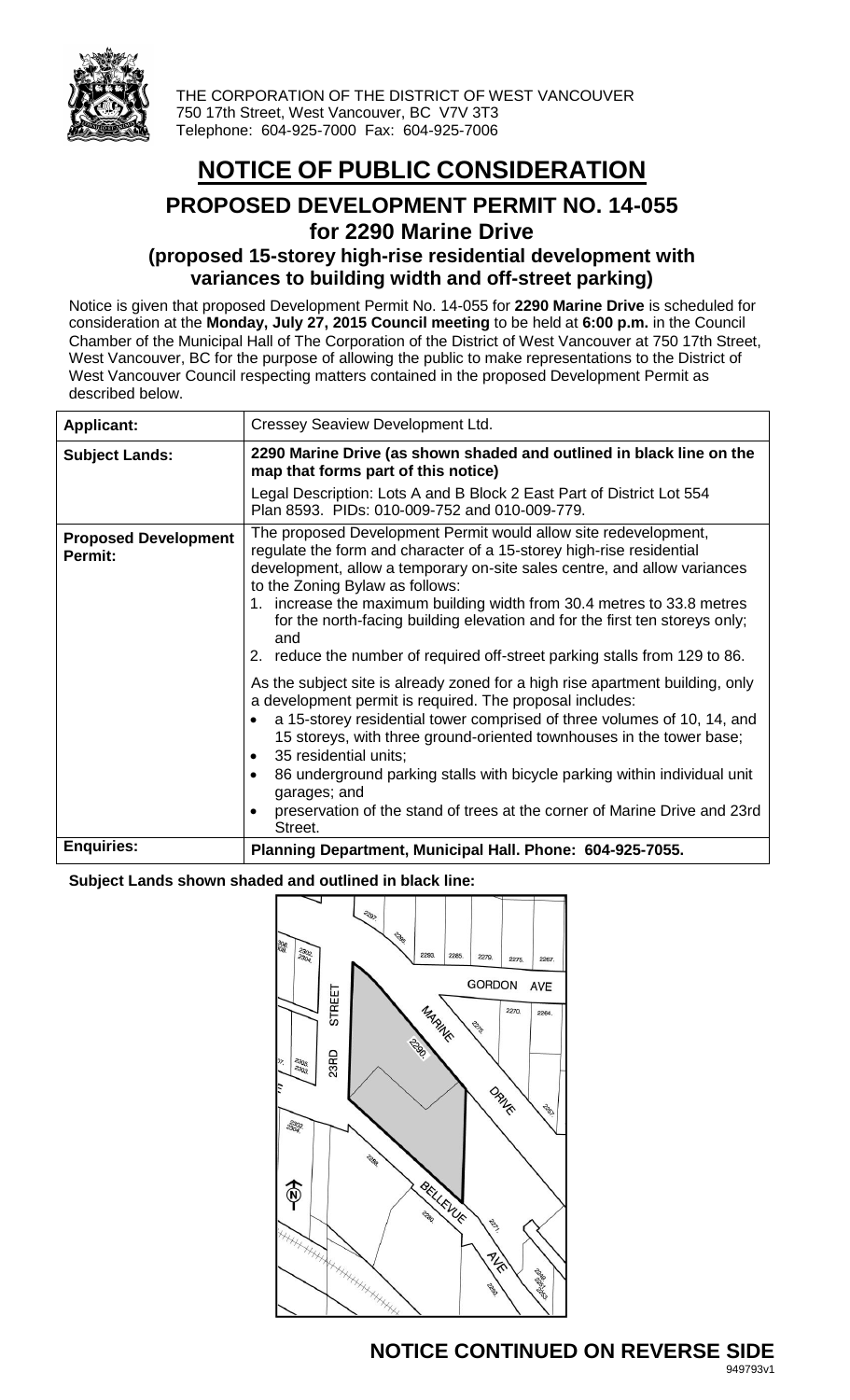

THE CORPORATION OF THE DISTRICT OF WEST VANCOUVER 750 17th Street, West Vancouver, BC V7V 3T3 Telephone: 604-925-7000 Fax: 604-925-7006

# **NOTICE OF PUBLIC CONSIDERATION**

## **PROPOSED DEVELOPMENT PERMIT NO. 14-055 for 2290 Marine Drive**

### **(proposed 15-storey high-rise residential development with variances to building width and off-street parking)**

Notice is given that proposed Development Permit No. 14-055 for **2290 Marine Drive** is scheduled for consideration at the **Monday, July 27, 2015 Council meeting** to be held at **6:00 p.m.** in the Council Chamber of the Municipal Hall of The Corporation of the District of West Vancouver at 750 17th Street, West Vancouver, BC for the purpose of allowing the public to make representations to the District of West Vancouver Council respecting matters contained in the proposed Development Permit as described below.

| <b>Applicant:</b>                      | Cressey Seaview Development Ltd.                                                                                                                                                                                                                                                                                                                                                                                                                                                                                                                                                                                                                                                                                                                                                                                                                                                                                                                                                                                                             |  |  |
|----------------------------------------|----------------------------------------------------------------------------------------------------------------------------------------------------------------------------------------------------------------------------------------------------------------------------------------------------------------------------------------------------------------------------------------------------------------------------------------------------------------------------------------------------------------------------------------------------------------------------------------------------------------------------------------------------------------------------------------------------------------------------------------------------------------------------------------------------------------------------------------------------------------------------------------------------------------------------------------------------------------------------------------------------------------------------------------------|--|--|
| <b>Subject Lands:</b>                  | 2290 Marine Drive (as shown shaded and outlined in black line on the<br>map that forms part of this notice)                                                                                                                                                                                                                                                                                                                                                                                                                                                                                                                                                                                                                                                                                                                                                                                                                                                                                                                                  |  |  |
|                                        | Legal Description: Lots A and B Block 2 East Part of District Lot 554<br>Plan 8593. PIDs: 010-009-752 and 010-009-779.                                                                                                                                                                                                                                                                                                                                                                                                                                                                                                                                                                                                                                                                                                                                                                                                                                                                                                                       |  |  |
| <b>Proposed Development</b><br>Permit: | The proposed Development Permit would allow site redevelopment,<br>regulate the form and character of a 15-storey high-rise residential<br>development, allow a temporary on-site sales centre, and allow variances<br>to the Zoning Bylaw as follows:<br>1. increase the maximum building width from 30.4 metres to 33.8 metres<br>for the north-facing building elevation and for the first ten storeys only;<br>and<br>2. reduce the number of required off-street parking stalls from 129 to 86.<br>As the subject site is already zoned for a high rise apartment building, only<br>a development permit is required. The proposal includes:<br>a 15-storey residential tower comprised of three volumes of 10, 14, and<br>15 storeys, with three ground-oriented townhouses in the tower base;<br>35 residential units;<br>$\bullet$<br>86 underground parking stalls with bicycle parking within individual unit<br>garages; and<br>preservation of the stand of trees at the corner of Marine Drive and 23rd<br>$\bullet$<br>Street. |  |  |
| <b>Enquiries:</b>                      | Planning Department, Municipal Hall. Phone: 604-925-7055.                                                                                                                                                                                                                                                                                                                                                                                                                                                                                                                                                                                                                                                                                                                                                                                                                                                                                                                                                                                    |  |  |

#### **Subject Lands shown shaded and outlined in black line:**